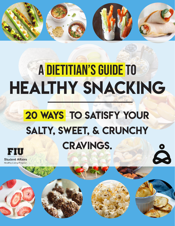

# A DIETItIAN'S GUIDE TO **HEALTHY SNACKING**

## **20 WAYS TO SATISFY YOUR** salty, sweet, & crunchy cravings.

Q

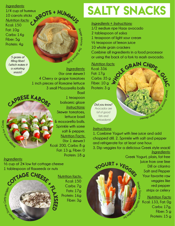*Ingredients:* **1/4 cup of hummus 10 carrots sticks** *Nutrition facts:* **Kcal: 150 Fat: 10g Carbs: 14g Fiber: 5g Protein: 4g**

> *5 grams of filling fiber! (which makes it a satiating snack)*

CAPRESE KABOBS



*Ingredients:* **(for one skewer) 4 Cherry or grape tomatoes 1 inch pieces of Romaine lettuce 3 small Mozzarella balls Basil**

**1 teaspoon balsamic glaze** *Instructions:* **Skewer tomatoes, lettuce basil & mozzarella balls. Sprinkle with some salt & pepper. Nutrition Facts: (for 1 skewer) Kcal: 200, Carbs: 8 g Fat: 13 g, Fiber: 0 Protein: 18 g**

# **u**

*Co oks*

#### *Ingredients:*

*<sup>m</sup><sup>I</sup> <sup>a</sup>g<sup>e</sup>*

**½ cup of 2% low fat cottage cheese 1 tablespoon of flaxseeds or nuts**



**Nutrition facts: Kcal: 150 Carbs: 7g Fats: 17g Protein: 16g Fiber: 3g** 

## SALTY SNACKS

*Ingredients + Instructions:* **1/2 medium ripe Haas avocado 2 tablespoon of salsa 1 teaspoon of light sour cream ½ teaspoon of lemon juice 10 whole grain crackers Combine all ingredients in a food processor or using the back of a fork to mash avocado.**

*Nutrition facts:* **Kcal: 336 Fat: 17g Carbs: 35 g Fiber: 10 g Protein: 3 g**



### WE GRAIN CHIPS . *Im age Sou* **e** *d d n*<sup>*i*</sup> *a*<sup>*d*</sup> *n*<sup>*i*</sup> *a*<sup>*d*</sup> *d d <i>e*<sup></sup>

#### *Instructions:*

**1. Combine Yogurt with lime juice and add chopped dill. 2. Sprinkle with salt and pepper and refrigerate for at least one hour.**

*Ingredients:* **3. Dip veggies for a delicious Greek style snack!**

**H** *H*<sub>e</sub><br> **H** *H*<sub>e</sub><br> **H** *H*<sub>e</sub><br> **H** *H*<sub>e</sub>

YOGURT + VEGGIES *Image*  $\mathsf{S}$ *o urce:* **Greek Yogurt, plain, fat free Juice from one lime Dill or cilantro Salt and Pepper Your favorite raw veggies like red pepper strips or celery**

*Nutrition Facts:* **Kcal: 133, Fat: 0g Carbs: 17g, Fiber: 5 g Protein: 15 g**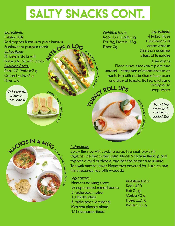### SALTY SNACKS CONT.

*Paren<sup>t</sup>s*

**a** *d*<sub>2</sub>

#### *Ingredients:*

<sup>A</sup>nt<sup>s</sup> <sup>o</sup><sup>n</sup> <sup>a</sup> <sup>l</sup>o<sup>g</sup> *<sup>I</sup>mag<sup>e</sup> <sup>S</sup>ou<sup>r</sup>ce:* **Celery stalk Red pepper hummus or plain hummus Sunflower or pumpkin seeds** *Instructions:* **Fill celery stalks with hummus & top with seeds.** *Nutrition Facts:*  **Kcal: 57, Protein:2 g Carbs:4 g, Fat:4 g Fiber: 1 g**

*Or try peanut butter on your celery!*

#### *Nutrition facts:*  **Kcal: 177, Carbs:3g Fat: 5g, Protein: 15g, Fiber: 0g**

*Ingredients:* **4 turkey slices 4 teaspoons of cream cheese Strips of cucumber Slices of tomatoes**

#### *Instructions:*

Jakey ROLL Ups **Place turkey slices on a plate and spread 1 teaspoon of cream cheese on each. Top with a thin slice of cucumber and slice of tomato. Roll up and use a toothpick to** 

*Image Source:*

*L vi ni g*

*D ai bet ci*

*Try adding whole grain crackers for added fiber*

**keep intact.**

## **FACHOS IN A MUG** *Spoon Un viersity*

*Image Source:*

*Livest*

 $\epsilon_{\rm o}^{\rm o}$   $\epsilon_{\rm o}^{\rm o}$ 

#### *Instructions:*

**Spray the mug with cooking spray. In a small bowl, stir together the beans and salsa. Place 5 chips in the mug and top with a third of cheese and half the bean salsa mixture. Top with another layer. Microwave covered for 1 minute and thirty seconds. Top with Avocado**

#### *Ingredients:*

**Nonstick cooking spray ½ cup canned refried beans 3 tablespoon salsa 10 tortilla chips 3 tablespoon shredded Mexican cheese blend 1/4 avocado diced**

### *Nutrition facts:*

**Kcal: 450 Fat: 21 g Carbs: 40 g Fiber: 11.5 g Protein: 23 g**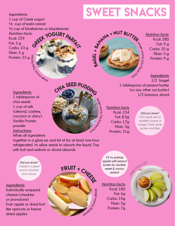#### *Ingredients:*

**1 cup of Greek yogurt ½ cup of kashi cereal ½ cup of blueberries or blackberries** *Nutrition facts:* **Kcal: 259 Fat: 3 g Carbs: 23 g Fiber: 5 g Protein: 23 g** YOGURT PA **Kitchen**

**e: Tasty**

### sweet snacks



*Nutrition facts:* **Kcal: 280 Fat: 9 g Carbs: 35 g Fiber: 5 g Protein: 9 g**

*Ingredients:* **1/2 bagel 1 tablespoon of peanut butter** 

**1/2 banana, sliced**

*Ingredients:*

**1 tablespoon of chia seeds 1 cup of milk (almond, cashew, coconut or dairy) Vanilla Protein powder** *Instructions:* **Whisk all ingredients** 



**Nutrition facts Kcal: 234 Fat: 8.5g Carbs: 17g Fiber: 5g Protein: 21g**

#### *Did you know?*

**(or any other nut butter)**

*Chia seeds are an excellent source of omega-3 fatty acids, protein and fiber.*

**together in a glass jar and let sit for at least one hour refrigerated to allow seeds to absorb the liquid. Top with fruit and walnuts or sliced almonds**

*Did you know? Cheese is a great source of protein and calcium*

*Ingredients:* **Individually wrapped cheese (cheddar or provolone) Fruit: apple or dried fruit like apricots or freeze dried apples.**



*Or try pairing apples with peanut butter for another sweet & savory option!*

*Nutrition facts:* **Kcal: 180 Fat: 6g Carbs: 23g Fiber: 5g Protein: 7g**

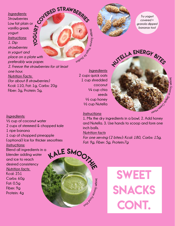Yo g Cov<sup>erED</sup> STRAWBERRIES *Ingredients:* **Strawberries Low fat plain or vanilla greek yogurt** *Instructions: 1. Dip strawberries in yogurt and place on a plate with preferably wax paper. 2. Freeze the strawberries for at least one hour. Nutrition Facts: (for about 8 strawberries)*  **Kcal: 110, Fat: 1g, Carbs: 20g Fiber: 3g, Protein: 5g,**



*<sup>Y</sup>og<sup>a</sup> <sup>F</sup><sup>i</sup><sup>t</sup> <sup>S</sup> <sup>u</sup><sup>t</sup> <sup>d</sup> <sup>o</sup><sup>i</sup> s*

*Instructions:*

**inch balls.**

*Nutrition facts*

*Fat: 9g, Fiber: 5g, Protein:7g*

*Try yogurt covered + granola dipped bananas too!*



**1. Mix the dry ingredients in a bowl. 2. Add honey and Nutella. 3. Use hands to scoop and form one** 

*For one serving (2 bites): Kcal: 180, Carbs: 15g,* 

#### *Ingredients:*

**½ cup of coconut water 2 cups of stemmed & chopped kale 1 ripe banana 1 cup of chopped pineapple (optional) Ice for thicker smoothies** *Instructions:* **Blend all ingredients in a** 

**blender adding water and ice to reach desired consistency** *Nutrition facts:*  **Kcal: 251 Carbs: 60g Fat: 0.5g Fiber: 9g Protein: 4g**



## **SWEET** snacks CONT.